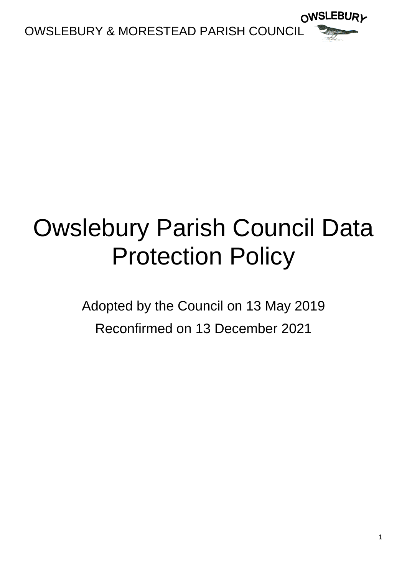

## Owslebury Parish Council Data Protection Policy

Adopted by the Council on 13 May 2019 Reconfirmed on 13 December 2021